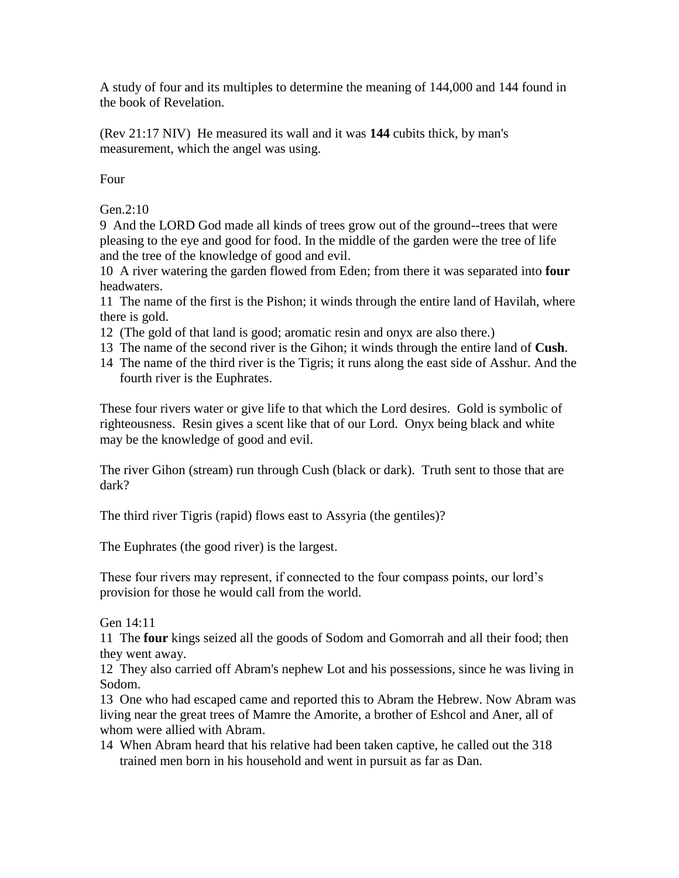A study of four and its multiples to determine the meaning of 144,000 and 144 found in the book of Revelation.

(Rev 21:17 NIV) He measured its wall and it was **144** cubits thick, by man's measurement, which the angel was using.

Four

Gen.2:10

9 And the LORD God made all kinds of trees grow out of the ground--trees that were pleasing to the eye and good for food. In the middle of the garden were the tree of life and the tree of the knowledge of good and evil.

10 A river watering the garden flowed from Eden; from there it was separated into **four** headwaters.

11 The name of the first is the Pishon; it winds through the entire land of Havilah, where there is gold.

- 12 (The gold of that land is good; aromatic resin and onyx are also there.)
- 13 The name of the second river is the Gihon; it winds through the entire land of **Cush**.
- 14 The name of the third river is the Tigris; it runs along the east side of Asshur. And the fourth river is the Euphrates.

These four rivers water or give life to that which the Lord desires. Gold is symbolic of righteousness. Resin gives a scent like that of our Lord. Onyx being black and white may be the knowledge of good and evil.

The river Gihon (stream) run through Cush (black or dark). Truth sent to those that are dark?

The third river Tigris (rapid) flows east to Assyria (the gentiles)?

The Euphrates (the good river) is the largest.

These four rivers may represent, if connected to the four compass points, our lord's provision for those he would call from the world.

Gen 14:11

11 The **four** kings seized all the goods of Sodom and Gomorrah and all their food; then they went away.

12 They also carried off Abram's nephew Lot and his possessions, since he was living in Sodom.

13 One who had escaped came and reported this to Abram the Hebrew. Now Abram was living near the great trees of Mamre the Amorite, a brother of Eshcol and Aner, all of whom were allied with Abram.

14 When Abram heard that his relative had been taken captive, he called out the 318 trained men born in his household and went in pursuit as far as Dan.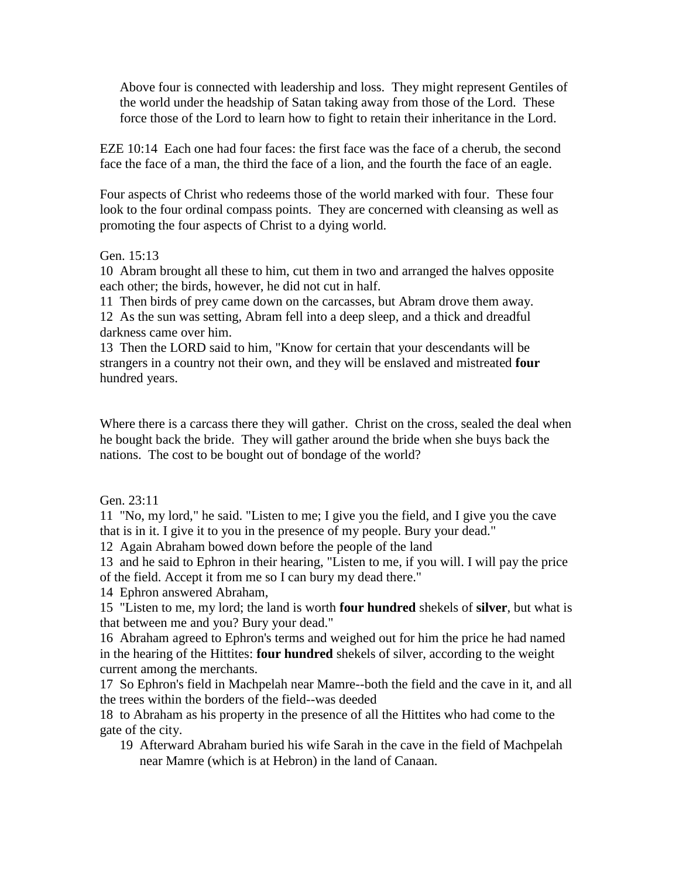Above four is connected with leadership and loss. They might represent Gentiles of the world under the headship of Satan taking away from those of the Lord. These force those of the Lord to learn how to fight to retain their inheritance in the Lord.

EZE 10:14 Each one had four faces: the first face was the face of a cherub, the second face the face of a man, the third the face of a lion, and the fourth the face of an eagle.

Four aspects of Christ who redeems those of the world marked with four. These four look to the four ordinal compass points. They are concerned with cleansing as well as promoting the four aspects of Christ to a dying world.

## Gen. 15:13

10 Abram brought all these to him, cut them in two and arranged the halves opposite each other; the birds, however, he did not cut in half.

11 Then birds of prey came down on the carcasses, but Abram drove them away. 12 As the sun was setting, Abram fell into a deep sleep, and a thick and dreadful darkness came over him.

13 Then the LORD said to him, "Know for certain that your descendants will be strangers in a country not their own, and they will be enslaved and mistreated **four** hundred years.

Where there is a carcass there they will gather. Christ on the cross, sealed the deal when he bought back the bride. They will gather around the bride when she buys back the nations. The cost to be bought out of bondage of the world?

Gen. 23:11

11 "No, my lord," he said. "Listen to me; I give you the field, and I give you the cave that is in it. I give it to you in the presence of my people. Bury your dead."

12 Again Abraham bowed down before the people of the land

13 and he said to Ephron in their hearing, "Listen to me, if you will. I will pay the price of the field. Accept it from me so I can bury my dead there."

14 Ephron answered Abraham,

15 "Listen to me, my lord; the land is worth **four hundred** shekels of **silver**, but what is that between me and you? Bury your dead."

16 Abraham agreed to Ephron's terms and weighed out for him the price he had named in the hearing of the Hittites: **four hundred** shekels of silver, according to the weight current among the merchants.

17 So Ephron's field in Machpelah near Mamre--both the field and the cave in it, and all the trees within the borders of the field--was deeded

18 to Abraham as his property in the presence of all the Hittites who had come to the gate of the city.

19 Afterward Abraham buried his wife Sarah in the cave in the field of Machpelah near Mamre (which is at Hebron) in the land of Canaan.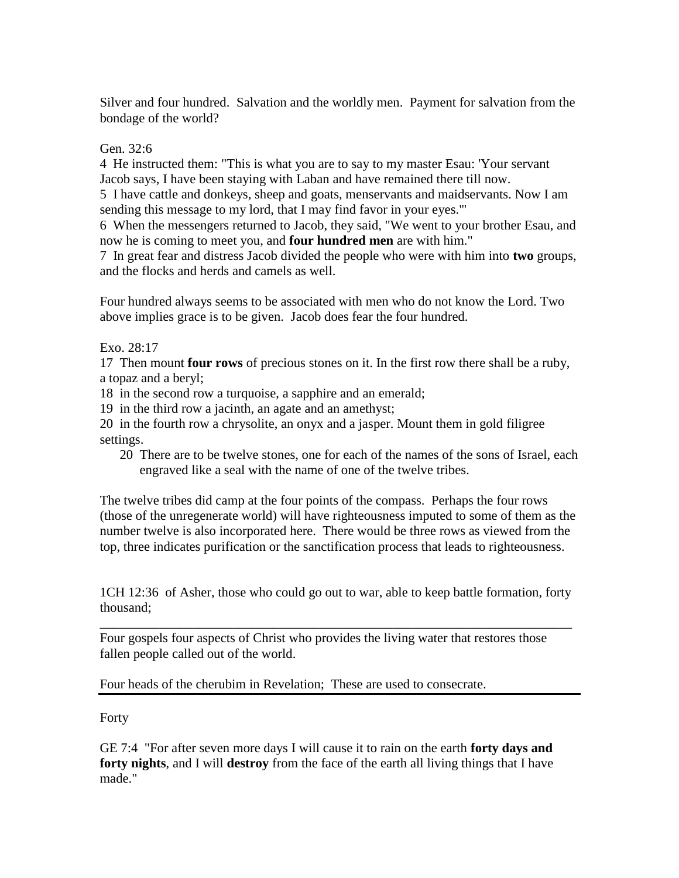Silver and four hundred. Salvation and the worldly men. Payment for salvation from the bondage of the world?

## Gen. 32:6

4 He instructed them: "This is what you are to say to my master Esau: 'Your servant Jacob says, I have been staying with Laban and have remained there till now.

5 I have cattle and donkeys, sheep and goats, menservants and maidservants. Now I am sending this message to my lord, that I may find favor in your eyes.'"

6 When the messengers returned to Jacob, they said, "We went to your brother Esau, and now he is coming to meet you, and **four hundred men** are with him."

7 In great fear and distress Jacob divided the people who were with him into **two** groups, and the flocks and herds and camels as well.

Four hundred always seems to be associated with men who do not know the Lord. Two above implies grace is to be given. Jacob does fear the four hundred.

## Exo. 28:17

17 Then mount **four rows** of precious stones on it. In the first row there shall be a ruby, a topaz and a beryl;

18 in the second row a turquoise, a sapphire and an emerald;

19 in the third row a jacinth, an agate and an amethyst;

20 in the fourth row a chrysolite, an onyx and a jasper. Mount them in gold filigree settings.

20 There are to be twelve stones, one for each of the names of the sons of Israel, each engraved like a seal with the name of one of the twelve tribes.

The twelve tribes did camp at the four points of the compass. Perhaps the four rows (those of the unregenerate world) will have righteousness imputed to some of them as the number twelve is also incorporated here. There would be three rows as viewed from the top, three indicates purification or the sanctification process that leads to righteousness.

1CH 12:36 of Asher, those who could go out to war, able to keep battle formation, forty thousand;

\_\_\_\_\_\_\_\_\_\_\_\_\_\_\_\_\_\_\_\_\_\_\_\_\_\_\_\_\_\_\_\_\_\_\_\_\_\_\_\_\_\_\_\_\_\_\_\_\_\_\_\_\_\_\_\_\_\_\_\_\_\_\_\_\_\_\_\_\_\_\_

Four gospels four aspects of Christ who provides the living water that restores those fallen people called out of the world.

Four heads of the cherubim in Revelation; These are used to consecrate.

## Forty

GE 7:4 "For after seven more days I will cause it to rain on the earth **forty days and forty nights**, and I will **destroy** from the face of the earth all living things that I have made."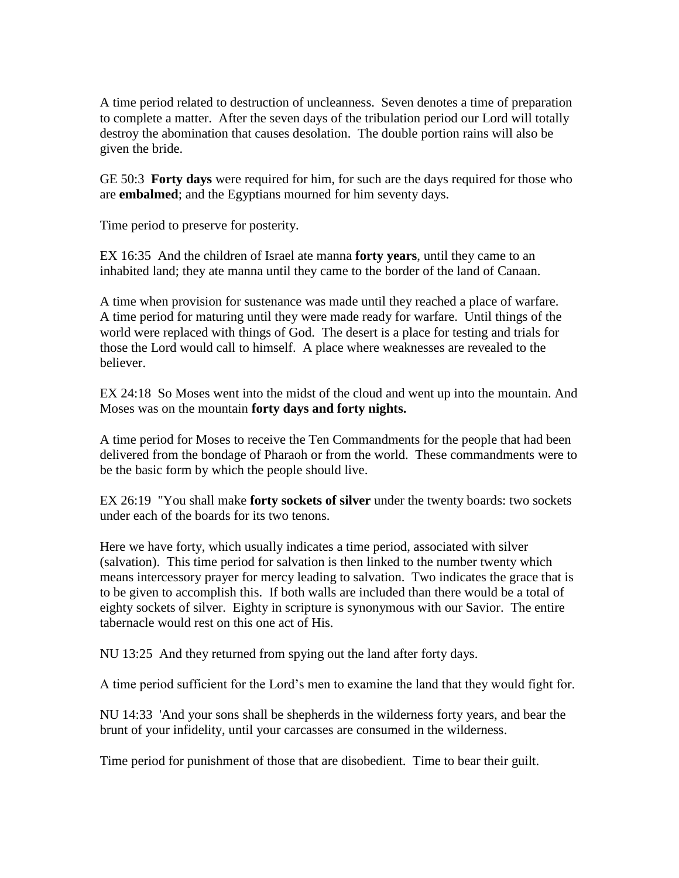A time period related to destruction of uncleanness. Seven denotes a time of preparation to complete a matter. After the seven days of the tribulation period our Lord will totally destroy the abomination that causes desolation. The double portion rains will also be given the bride.

GE 50:3 **Forty days** were required for him, for such are the days required for those who are **embalmed**; and the Egyptians mourned for him seventy days.

Time period to preserve for posterity.

EX 16:35 And the children of Israel ate manna **forty years**, until they came to an inhabited land; they ate manna until they came to the border of the land of Canaan.

A time when provision for sustenance was made until they reached a place of warfare. A time period for maturing until they were made ready for warfare. Until things of the world were replaced with things of God. The desert is a place for testing and trials for those the Lord would call to himself. A place where weaknesses are revealed to the believer.

EX 24:18 So Moses went into the midst of the cloud and went up into the mountain. And Moses was on the mountain **forty days and forty nights.**

A time period for Moses to receive the Ten Commandments for the people that had been delivered from the bondage of Pharaoh or from the world. These commandments were to be the basic form by which the people should live.

EX 26:19 "You shall make **forty sockets of silver** under the twenty boards: two sockets under each of the boards for its two tenons.

Here we have forty, which usually indicates a time period, associated with silver (salvation). This time period for salvation is then linked to the number twenty which means intercessory prayer for mercy leading to salvation. Two indicates the grace that is to be given to accomplish this. If both walls are included than there would be a total of eighty sockets of silver. Eighty in scripture is synonymous with our Savior. The entire tabernacle would rest on this one act of His.

NU 13:25 And they returned from spying out the land after forty days.

A time period sufficient for the Lord's men to examine the land that they would fight for.

NU 14:33 'And your sons shall be shepherds in the wilderness forty years, and bear the brunt of your infidelity, until your carcasses are consumed in the wilderness.

Time period for punishment of those that are disobedient. Time to bear their guilt.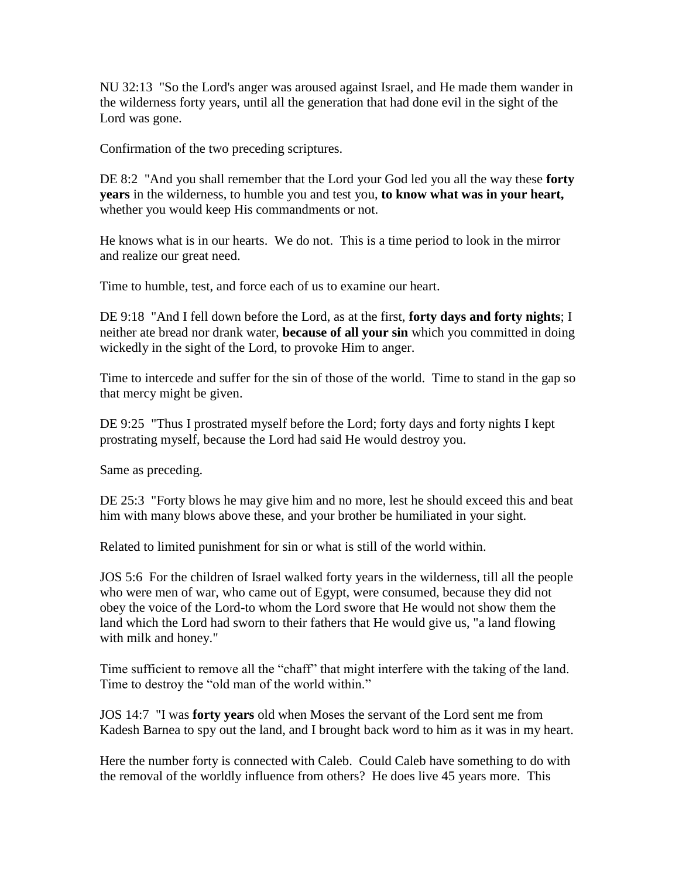NU 32:13 "So the Lord's anger was aroused against Israel, and He made them wander in the wilderness forty years, until all the generation that had done evil in the sight of the Lord was gone.

Confirmation of the two preceding scriptures.

DE 8:2 "And you shall remember that the Lord your God led you all the way these **forty years** in the wilderness, to humble you and test you, **to know what was in your heart,**  whether you would keep His commandments or not.

He knows what is in our hearts. We do not. This is a time period to look in the mirror and realize our great need.

Time to humble, test, and force each of us to examine our heart.

DE 9:18 "And I fell down before the Lord, as at the first, **forty days and forty nights**; I neither ate bread nor drank water, **because of all your sin** which you committed in doing wickedly in the sight of the Lord, to provoke Him to anger.

Time to intercede and suffer for the sin of those of the world. Time to stand in the gap so that mercy might be given.

DE 9:25 "Thus I prostrated myself before the Lord; forty days and forty nights I kept prostrating myself, because the Lord had said He would destroy you.

Same as preceding.

DE 25:3 "Forty blows he may give him and no more, lest he should exceed this and beat him with many blows above these, and your brother be humiliated in your sight.

Related to limited punishment for sin or what is still of the world within.

JOS 5:6 For the children of Israel walked forty years in the wilderness, till all the people who were men of war, who came out of Egypt, were consumed, because they did not obey the voice of the Lord-to whom the Lord swore that He would not show them the land which the Lord had sworn to their fathers that He would give us, "a land flowing with milk and honey."

Time sufficient to remove all the "chaff" that might interfere with the taking of the land. Time to destroy the "old man of the world within."

JOS 14:7 "I was **forty years** old when Moses the servant of the Lord sent me from Kadesh Barnea to spy out the land, and I brought back word to him as it was in my heart.

Here the number forty is connected with Caleb. Could Caleb have something to do with the removal of the worldly influence from others? He does live 45 years more. This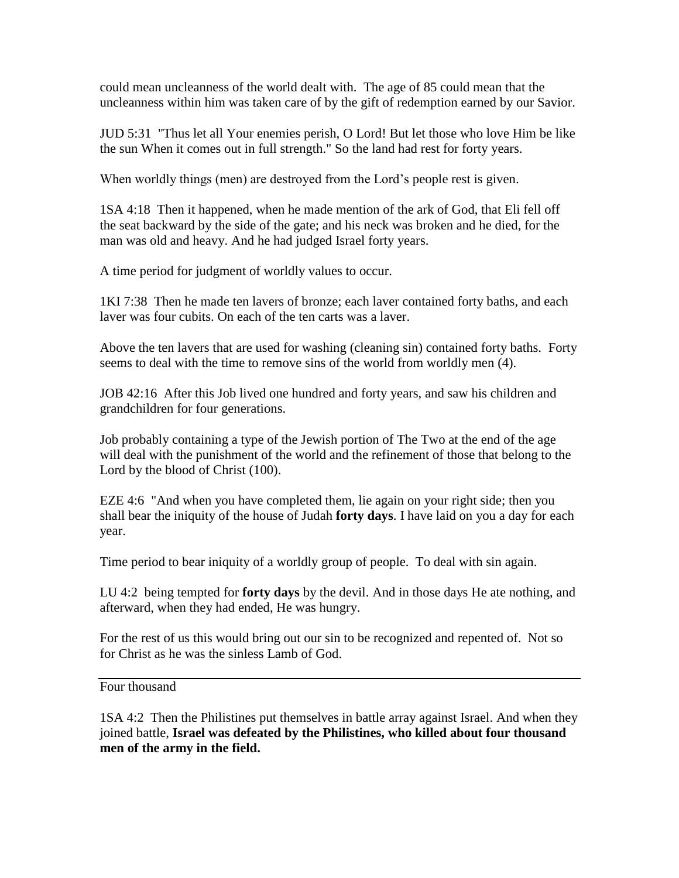could mean uncleanness of the world dealt with. The age of 85 could mean that the uncleanness within him was taken care of by the gift of redemption earned by our Savior.

JUD 5:31 "Thus let all Your enemies perish, O Lord! But let those who love Him be like the sun When it comes out in full strength." So the land had rest for forty years.

When worldly things (men) are destroyed from the Lord's people rest is given.

1SA 4:18 Then it happened, when he made mention of the ark of God, that Eli fell off the seat backward by the side of the gate; and his neck was broken and he died, for the man was old and heavy. And he had judged Israel forty years.

A time period for judgment of worldly values to occur.

1KI 7:38 Then he made ten lavers of bronze; each laver contained forty baths, and each laver was four cubits. On each of the ten carts was a laver.

Above the ten lavers that are used for washing (cleaning sin) contained forty baths. Forty seems to deal with the time to remove sins of the world from worldly men (4).

JOB 42:16 After this Job lived one hundred and forty years, and saw his children and grandchildren for four generations.

Job probably containing a type of the Jewish portion of The Two at the end of the age will deal with the punishment of the world and the refinement of those that belong to the Lord by the blood of Christ (100).

EZE 4:6 "And when you have completed them, lie again on your right side; then you shall bear the iniquity of the house of Judah **forty days**. I have laid on you a day for each year.

Time period to bear iniquity of a worldly group of people. To deal with sin again.

LU 4:2 being tempted for **forty days** by the devil. And in those days He ate nothing, and afterward, when they had ended, He was hungry.

For the rest of us this would bring out our sin to be recognized and repented of. Not so for Christ as he was the sinless Lamb of God.

Four thousand

1SA 4:2 Then the Philistines put themselves in battle array against Israel. And when they joined battle, **Israel was defeated by the Philistines, who killed about four thousand men of the army in the field.**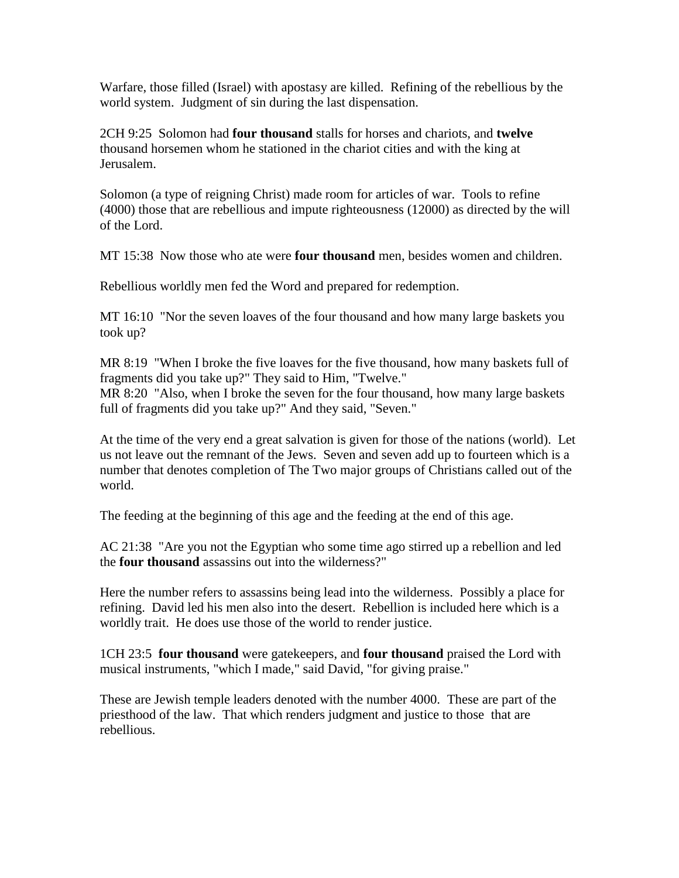Warfare, those filled (Israel) with apostasy are killed. Refining of the rebellious by the world system. Judgment of sin during the last dispensation.

2CH 9:25 Solomon had **four thousand** stalls for horses and chariots, and **twelve**  thousand horsemen whom he stationed in the chariot cities and with the king at Jerusalem.

Solomon (a type of reigning Christ) made room for articles of war. Tools to refine (4000) those that are rebellious and impute righteousness (12000) as directed by the will of the Lord.

MT 15:38 Now those who ate were **four thousand** men, besides women and children.

Rebellious worldly men fed the Word and prepared for redemption.

MT 16:10 "Nor the seven loaves of the four thousand and how many large baskets you took up?

MR 8:19 "When I broke the five loaves for the five thousand, how many baskets full of fragments did you take up?" They said to Him, "Twelve." MR 8:20 "Also, when I broke the seven for the four thousand, how many large baskets full of fragments did you take up?" And they said, "Seven."

At the time of the very end a great salvation is given for those of the nations (world). Let us not leave out the remnant of the Jews. Seven and seven add up to fourteen which is a number that denotes completion of The Two major groups of Christians called out of the world.

The feeding at the beginning of this age and the feeding at the end of this age.

AC 21:38 "Are you not the Egyptian who some time ago stirred up a rebellion and led the **four thousand** assassins out into the wilderness?"

Here the number refers to assassins being lead into the wilderness. Possibly a place for refining. David led his men also into the desert. Rebellion is included here which is a worldly trait. He does use those of the world to render justice.

1CH 23:5 **four thousand** were gatekeepers, and **four thousand** praised the Lord with musical instruments, "which I made," said David, "for giving praise."

These are Jewish temple leaders denoted with the number 4000. These are part of the priesthood of the law. That which renders judgment and justice to those that are rebellious.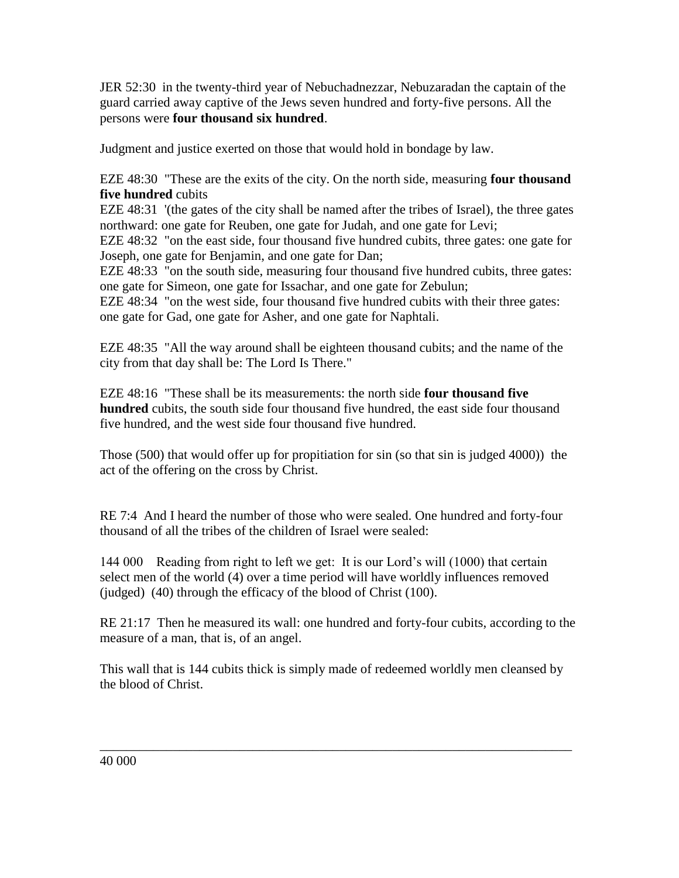JER 52:30 in the twenty-third year of Nebuchadnezzar, Nebuzaradan the captain of the guard carried away captive of the Jews seven hundred and forty-five persons. All the persons were **four thousand six hundred**.

Judgment and justice exerted on those that would hold in bondage by law.

EZE 48:30 "These are the exits of the city. On the north side, measuring **four thousand five hundred** cubits

EZE 48:31 '(the gates of the city shall be named after the tribes of Israel), the three gates northward: one gate for Reuben, one gate for Judah, and one gate for Levi;

EZE 48:32 "on the east side, four thousand five hundred cubits, three gates: one gate for Joseph, one gate for Benjamin, and one gate for Dan;

EZE 48:33 "on the south side, measuring four thousand five hundred cubits, three gates: one gate for Simeon, one gate for Issachar, and one gate for Zebulun;

EZE 48:34 "on the west side, four thousand five hundred cubits with their three gates: one gate for Gad, one gate for Asher, and one gate for Naphtali.

EZE 48:35 "All the way around shall be eighteen thousand cubits; and the name of the city from that day shall be: The Lord Is There."

EZE 48:16 "These shall be its measurements: the north side **four thousand five hundred** cubits, the south side four thousand five hundred, the east side four thousand five hundred, and the west side four thousand five hundred.

Those (500) that would offer up for propitiation for sin (so that sin is judged 4000)) the act of the offering on the cross by Christ.

RE 7:4 And I heard the number of those who were sealed. One hundred and forty-four thousand of all the tribes of the children of Israel were sealed:

144 000 Reading from right to left we get: It is our Lord's will (1000) that certain select men of the world (4) over a time period will have worldly influences removed (judged) (40) through the efficacy of the blood of Christ (100).

RE 21:17 Then he measured its wall: one hundred and forty-four cubits, according to the measure of a man, that is, of an angel.

This wall that is 144 cubits thick is simply made of redeemed worldly men cleansed by the blood of Christ.

\_\_\_\_\_\_\_\_\_\_\_\_\_\_\_\_\_\_\_\_\_\_\_\_\_\_\_\_\_\_\_\_\_\_\_\_\_\_\_\_\_\_\_\_\_\_\_\_\_\_\_\_\_\_\_\_\_\_\_\_\_\_\_\_\_\_\_\_\_\_\_